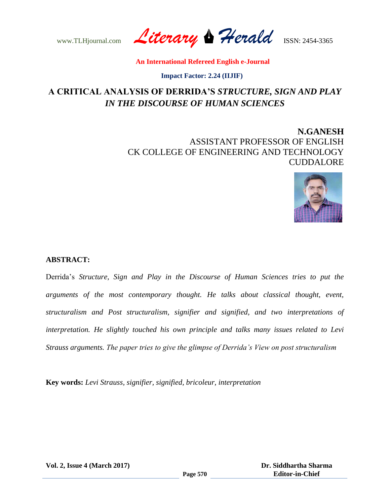www.TLHjournal.com *Literary Herald*ISSN: 2454-3365

 **Impact Factor: 2.24 (IIJIF)**

# **A CRITICAL ANALYSIS OF DERRIDA'S** *STRUCTURE, SIGN AND PLAY IN THE DISCOURSE OF HUMAN SCIENCES*

## **N.GANESH** ASSISTANT PROFESSOR OF ENGLISH CK COLLEGE OF ENGINEERING AND TECHNOLOGY CUDDALORE



### **ABSTRACT:**

Derrida"s *Structure, Sign and Play in the Discourse of Human Sciences tries to put the arguments of the most contemporary thought. He talks about classical thought, event, structuralism and Post structuralism, signifier and signified, and two interpretations of interpretation. He slightly touched his own principle and talks many issues related to Levi Strauss arguments. The paper tries to give the glimpse of Derrida's View on post structuralism* 

**Key words:** *Levi Strauss, signifier, signified, bricoleur, interpretation* 

**Vol. 2, Issue 4 (March 2017)**

 **Dr. Siddhartha Sharma Editor-in-Chief**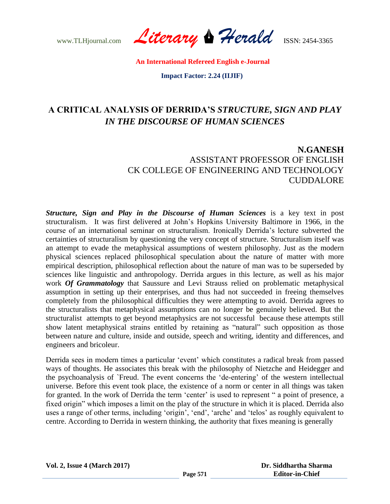www.TLHjournal.com *Literary Herald*ISSN: 2454-3365

 **Impact Factor: 2.24 (IIJIF)**

# **A CRITICAL ANALYSIS OF DERRIDA'S** *STRUCTURE, SIGN AND PLAY IN THE DISCOURSE OF HUMAN SCIENCES*

## **N.GANESH** ASSISTANT PROFESSOR OF ENGLISH CK COLLEGE OF ENGINEERING AND TECHNOLOGY CUDDALORE

*Structure, Sign and Play in the Discourse of Human Sciences* is a key text in post structuralism. It was first delivered at John"s Hopkins University Baltimore in 1966, in the course of an international seminar on structuralism. Ironically Derrida"s lecture subverted the certainties of structuralism by questioning the very concept of structure. Structuralism itself was an attempt to evade the metaphysical assumptions of western philosophy. Just as the modern physical sciences replaced philosophical speculation about the nature of matter with more empirical description, philosophical reflection about the nature of man was to be superseded by sciences like linguistic and anthropology. Derrida argues in this lecture, as well as his major work *Of Grammatology* that Saussure and Levi Strauss relied on problematic metaphysical assumption in setting up their enterprises, and thus had not succeeded in freeing themselves completely from the philosophical difficulties they were attempting to avoid. Derrida agrees to the structuralists that metaphysical assumptions can no longer be genuinely believed. But the structuralist attempts to get beyond metaphysics are not successful because these attempts still show latent metaphysical strains entitled by retaining as "natural" such opposition as those between nature and culture, inside and outside, speech and writing, identity and differences, and engineers and bricoleur.

Derrida sees in modern times a particular "event" which constitutes a radical break from passed ways of thoughts. He associates this break with the philosophy of Nietzche and Heidegger and the psychoanalysis of `Freud. The event concerns the "de-entering" of the western intellectual universe. Before this event took place, the existence of a norm or center in all things was taken for granted. In the work of Derrida the term 'center' is used to represent " a point of presence, a fixed origin" which imposes a limit on the play of the structure in which it is placed. Derrida also uses a range of other terms, including 'origin', 'end', 'arche' and 'telos' as roughly equivalent to centre. According to Derrida in western thinking, the authority that fixes meaning is generally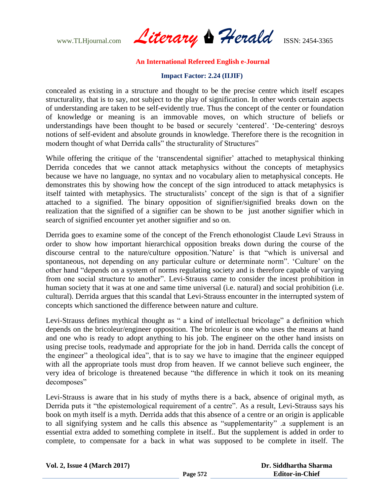www.TLHjournal.com *Literary Herald*ISSN: 2454-3365

#### **Impact Factor: 2.24 (IIJIF)**

concealed as existing in a structure and thought to be the precise centre which itself escapes structurality, that is to say, not subject to the play of signification. In other words certain aspects of understanding are taken to be self-evidently true. Thus the concept of the center or foundation of knowledge or meaning is an immovable moves, on which structure of beliefs or understandings have been thought to be based or securely 'centered'. 'De-centering' desroys notions of self-evident and absolute grounds in knowledge. Therefore there is the recognition in modern thought of what Derrida calls" the structurality of Structures"

While offering the critique of the 'transcendental signifier' attached to metaphysical thinking Derrida concedes that we cannot attack metaphysics without the concepts of metaphysics because we have no language, no syntax and no vocabulary alien to metaphysical concepts. He demonstrates this by showing how the concept of the sign introduced to attack metaphysics is itself tainted with metaphysics. The structuralists" concept of the sign is that of a signifier attached to a signified. The binary opposition of signifier/signified breaks down on the realization that the signified of a signifier can be shown to be just another signifier which in search of signified encounter yet another signifier and so on.

Derrida goes to examine some of the concept of the French ethonologist Claude Levi Strauss in order to show how important hierarchical opposition breaks down during the course of the discourse central to the nature/culture opposition.'Nature' is that "which is universal and spontaneous, not depending on any particular culture or determinate norm". "Culture" on the other hand "depends on a system of norms regulating society and is therefore capable of varying from one social structure to another". Levi-Strauss came to consider the incest prohibition in human society that it was at one and same time universal (i.e. natural) and social prohibition (i.e. cultural). Derrida argues that this scandal that Levi-Strauss encounter in the interrupted system of concepts which sanctioned the difference between nature and culture.

Levi-Strauss defines mythical thought as " a kind of intellectual bricolage" a definition which depends on the bricoleur/engineer opposition. The bricoleur is one who uses the means at hand and one who is ready to adopt anything to his job. The engineer on the other hand insists on using precise tools, readymade and appropriate for the job in hand. Derrida calls the concept of the engineer" a theological idea", that is to say we have to imagine that the engineer equipped with all the appropriate tools must drop from heaven. If we cannot believe such engineer, the very idea of bricologe is threatened because "the difference in which it took on its meaning decomposes"

Levi-Strauss is aware that in his study of myths there is a back, absence of original myth, as Derrida puts it "the epistemological requirement of a centre". As a result, Levi-Strauss says his book on myth itself is a myth. Derrida adds that this absence of a centre or an origin is applicable to all signifying system and he calls this absence as "supplementarity" .a supplement is an essential extra added to something complete in itself.. But the supplement is added in order to complete, to compensate for a back in what was supposed to be complete in itself. The

| <b>Vol. 2, Issue 4 (March 2017)</b> |          | Dr. Siddhartha Sharma  |
|-------------------------------------|----------|------------------------|
|                                     | Page 572 | <b>Editor-in-Chief</b> |